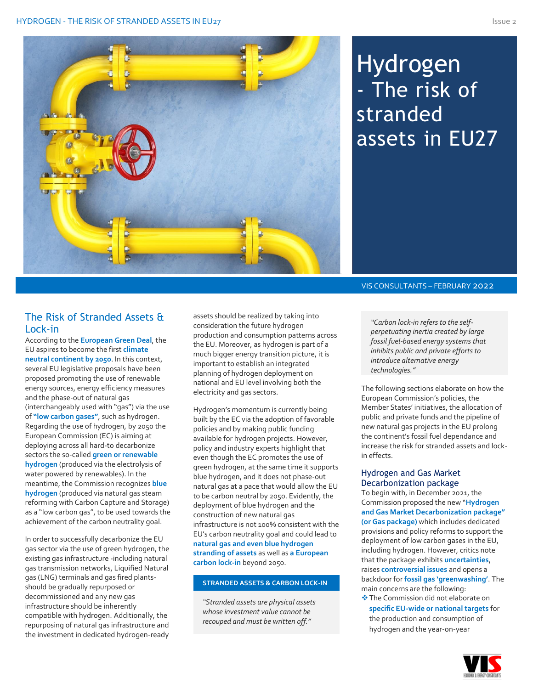

# Hydrogen - The risk of stranded assets in EU27

### VIS CONSULTANTS – FEBRUARY 2022

The Risk of Stranded Assets & Lock-in

According to the **European Green Deal**, the EU aspires to become the first **climate neutral continent by 2050**. In this context, several EU legislative proposals have been proposed promoting the use of renewable energy sources, energy efficiency measures and the phase-out of natural gas (interchangeably used with "gas") via the use of **"low carbon gases"**, such as hydrogen. Regarding the use of hydrogen, by 2050 the European Commission (EC) is aiming at deploying across all hard-to decarbonize sectors the so-called **green or renewable hydrogen** (produced via the electrolysis of water powered by renewables). In the meantime, the Commission recognizes **blue hydrogen** (produced via natural gas steam reforming with Carbon Capture and Storage) as a "low carbon gas", to be used towards the achievement of the carbon neutrality goal.

In order to successfully decarbonize the EU gas sector via the use of green hydrogen, the existing gas infrastructure -including natural gas transmission networks, Liquified Natural gas (LNG) terminals and gas fired plantsshould be gradually repurposed or decommissioned and any new gas infrastructure should be inherently compatible with hydrogen. Additionally, the repurposing of natural gas infrastructure and the investment in dedicated hydrogen-ready assets should be realized by taking into consideration the future hydrogen production and consumption patterns across the EU. Moreover, as hydrogen is part of a much bigger energy transition picture, it is important to establish an integrated planning of hydrogen deployment on national and EU level involving both the electricity and gas sectors.

Hydrogen's momentum is currently being built by the EC via the adoption of favorable policies and by making public funding available for hydrogen projects. However, policy and industry experts highlight that even though the EC promotes the use of green hydrogen, at the same time it supports blue hydrogen, and it does not phase-out natural gas at a pace that would allow the EU to be carbon neutral by 2050. Evidently, the deployment of blue hydrogen and the construction of new natural gas infrastructure is not 100% consistent with the EU's carbon neutrality goal and could lead to **natural gas and even blue hydrogen stranding of assets** as well as **a European carbon lock-in** beyond 2050.

### **STRANDED ASSETS & CARBON LOCK-IN**

*"Stranded assets are physical assets whose investment value cannot be recouped and must be written off."*

*"Carbon lock-in refers to the selfperpetuating inertia created by large fossil fuel-based energy systems that inhibits public and private efforts to introduce alternative energy technologies."*

The following sections elaborate on how the European Commission's policies, the Member States' initiatives, the allocation of public and private funds and the pipeline of new natural gas projects in the EU prolong the continent's fossil fuel dependance and increase the risk for stranded assets and lockin effects.

#### Hydrogen and Gas Market Decarbonization package

To begin with, in December 2021, the Commission proposed the new "**Hydrogen and Gas Market Decarbonization package" (or Gas package)** which includes dedicated provisions and policy reforms to support the deployment of low carbon gases in the EU, including hydrogen. However, critics note that the package exhibits **uncertainties**, raises **controversial issues** and opens a backdoor for **fossil gas 'greenwashing'**. The main concerns are the following:

❖The Commission did not elaborate on **specific EU-wide or national targets** for the production and consumption of hydrogen and the year-on-year

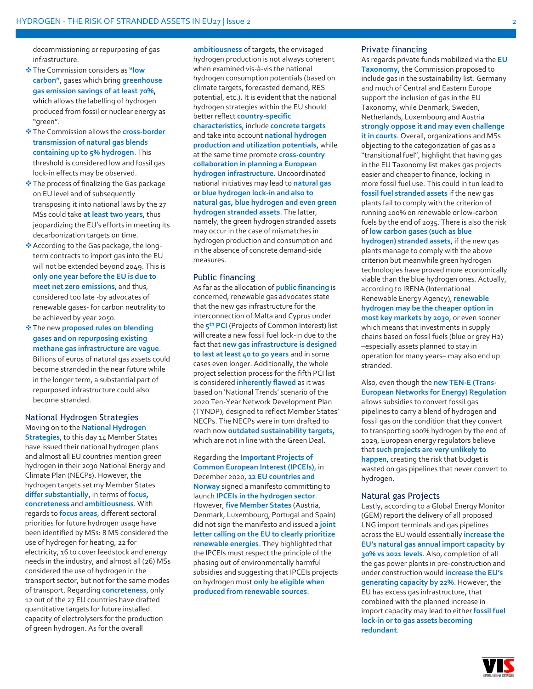decommissioning or repurposing of gas infrastructure.

- ❖The Commission considers as **"low carbon"**, gases which bring **greenhouse gas emission savings of at least 70%**, which allows the labelling of hydrogen produced from fossil or nuclear energy as "green".
- ❖The Commission allows the **cross-border transmission of natural gas blends containing up to 5% hydrogen**. This threshold is considered low and fossil gas lock-in effects may be observed.
- ❖The process of finalizing the Gas package on EU level and of subsequently transposing it into national laws by the 27 MSs could take **at least two years**, thus jeopardizing the EU's efforts in meeting its decarbonization targets on time.
- ❖According to the Gas package, the longterm contracts to import gas into the EU will not be extended beyond 2049. This is **only one year before the EU is due to meet net zero emissions**, and thus, considered too late -by advocates of renewable gases- for carbon neutrality to be achieved by year 2050.
- ❖The new **proposed rules on blending gases and on repurposing existing methane gas infrastructure are vague**. Billions of euros of natural gas assets could become stranded in the near future while in the longer term, a substantial part of repurposed infrastructure could also become stranded.

#### National Hydrogen Strategies Moving on to the **National Hydrogen**

**Strategies**, to this day 14 Member States have issued their national hydrogen plans and almost all EU countries mention green hydrogen in their 2030 National Energy and Climate Plan (NECPs). However, the hydrogen targets set my Member States **differ substantially**, in terms of **focus, concreteness** and **ambitiousness**. With regards to **focus areas**, different sectoral priorities for future hydrogen usage have been identified by MSs: 8 MS considered the use of hydrogen for heating, 22 for electricity, 16 to cover feedstock and energy needs in the industry, and almost all (26) MSs considered the use of hydrogen in the transport sector, but not for the same modes of transport. Regarding **concreteness**, only 12 out of the 27 EU countries have drafted quantitative targets for future installed capacity of electrolysers for the production of green hydrogen. As for the overall

**ambitiousness** of targets, the envisaged hydrogen production is not always coherent when examined vis-à-vis the national hydrogen consumption potentials (based on climate targets, forecasted demand, RES potential, etc.). It is evident that the national hydrogen strategies within the EU should better reflect **country-specific**

**characteristics**, include **concrete targets**  and take into account **national hydrogen production and utilization potentials**, while at the same time promote **cross-country collaboration in planning a European hydrogen infrastructure**. Uncoordinated national initiatives may lead to **natural gas or blue hydrogen lock-in and also to natural gas, blue hydrogen and even green hydrogen stranded assets**. The latter, namely, the green hydrogen stranded assets may occur in the case of mismatches in hydrogen production and consumption and in the absence of concrete demand-side measures.

#### Public financing

As far as the allocation of **public financing** is concerned, renewable gas advocates state that the new gas infrastructure for the interconnection of Malta and Cyprus under the **5 th PCI** (Projects of Common Interest) list will create a new fossil fuel lock-in due to the fact that **new gas infrastructure is designed to last at least 40 to 50 years** and in some cases even longer. Additionally, the whole project selection process for the fifth PCI list is considered **inherently flawed** as it was based on 'National Trends' scenario of the 2020 Ten-Year Network Development Plan (TYNDP), designed to reflect Member States' NECPs. The NECPs were in turn drafted to reach now **outdated sustainability targets,** which are not in line with the Green Deal.

Regarding the **Important Projects of Common European Interest (IPCEIs)**, in December 2020, **22 EU countries and Norway** signed a manifesto committing to launch **IPCEIs in the hydrogen sector**. However, **five Member States** (Austria, Denmark, Luxembourg, Portugal and Spain) did not sign the manifesto and issued a **joint letter calling on the EU to clearly prioritize renewable energies**. They highlighted that the IPCEIs must respect the principle of the phasing out of environmentally harmful subsidies and suggesting that IPCEIs projects on hydrogen must **only be eligible when produced from renewable sources**.

#### Private financing

As regards private funds mobilized via the **EU Taxonomy,** the Commission proposed to include gas in the sustainability list. Germany and much of Central and Eastern Europe support the inclusion of gas in the EU Taxonomy, while Denmark, Sweden, Netherlands, Luxembourg and Austria **strongly oppose it and may even challenge it in courts**. Overall, organizations and MSs objecting to the categorization of gas as a "transitional fuel", highlight that having gas in the EU Taxonomy list makes gas projects easier and cheaper to finance, locking in more fossil fuel use. This could in tun lead to **fossil fuel stranded assets** if the new gas plants fail to comply with the criterion of running 100% on renewable or low-carbon fuels by the end of 2035. There is also the risk of **low carbon gases (such as blue** 

**hydrogen) stranded assets**, if the new gas plants manage to comply with the above criterion but meanwhile green hydrogen technologies have proved more economically viable than the blue hydrogen ones. Actually, according to IRENA (International Renewable Energy Agency), **renewable hydrogen may be the cheaper option in most key markets by 2030**, or even sooner which means that investments in supply chains based on fossil fuels (blue or grey H2) –especially assets planned to stay in operation for many years– may also end up stranded.

Also, even though the **new TEN-E (Trans-European Networks for Energy) Regulation** allows subsidies to convert fossil gas pipelines to carry a blend of hydrogen and fossil gas on the condition that they convert to transporting 100% hydrogen by the end of 2029, European energy regulators believe that **such projects are very unlikely to happen**, creating the risk that budget is wasted on gas pipelines that never convert to hydrogen.

#### Natural gas Projects

Lastly, according to a Global Energy Monitor (GEM) report the delivery of all proposed LNG import terminals and gas pipelines across the EU would essentially **increase the EU's natural gas annual import capacity by 30% vs 2021 levels**. Also, completion of all the gas power plants in pre-construction and under construction would **increase the EU's generating capacity by 22%**. However, the EU has excess gas infrastructure, that combined with the planned increase in import capacity may lead to either **fossil fuel lock-in or to gas assets becoming redundant**.